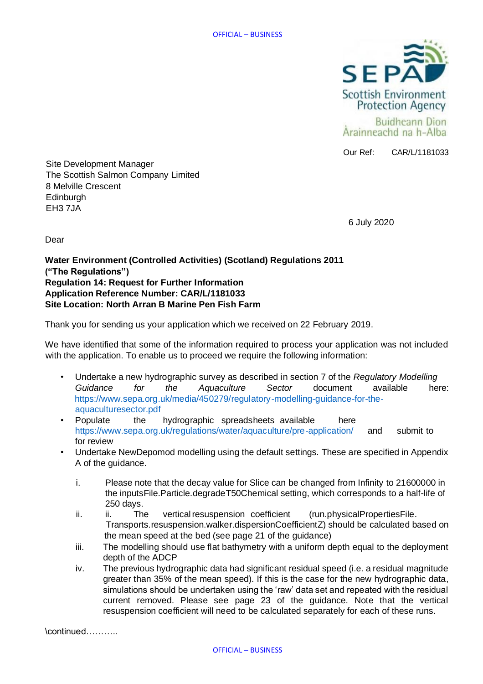

Our Ref: CAR/L/1181033

Site Development Manager The Scottish Salmon Company Limited 8 Melville Crescent **Edinburgh** EH3 7JA

6 July 2020

Dear

**Water Environment (Controlled Activities) (Scotland) Regulations 2011 ("The Regulations") Regulation 14: Request for Further Information Application Reference Number: CAR/L/1181033 Site Location: North Arran B Marine Pen Fish Farm**

Thank you for sending us your application which we received on 22 February 2019.

We have identified that some of the information required to process your application was not included with the application. To enable us to proceed we require the following information:

- Undertake a new hydrographic survey as described in section 7 of the *Regulatory Modelling Guidance for the Aquaculture Sector* document available here: https://www.sepa.org.uk/media/450279/regulatory-modelling-guidance-for-theaquaculturesector.pdf
- Populate the hydrographic spreadsheets available here https://www.sepa.org.uk/regulations/water/aquaculture/pre-application/ and submit to for review
- Undertake NewDepomod modelling using the default settings. These are specified in Appendix A of the guidance.
	- i. Please note that the decay value for Slice can be changed from Infinity to 21600000 in the inputsFile.Particle.degradeT50Chemical setting, which corresponds to a half-life of 250 days.
	- ii. ii. The vertical resuspension coefficient (run.physicalPropertiesFile. Transports.resuspension.walker.dispersionCoefficientZ) should be calculated based on the mean speed at the bed (see page 21 of the guidance)
	- iii. The modelling should use flat bathymetry with a uniform depth equal to the deployment depth of the ADCP
	- iv. The previous hydrographic data had significant residual speed (i.e. a residual magnitude greater than 35% of the mean speed). If this is the case for the new hydrographic data, simulations should be undertaken using the 'raw' data set and repeated with the residual current removed. Please see page 23 of the guidance. Note that the vertical resuspension coefficient will need to be calculated separately for each of these runs.